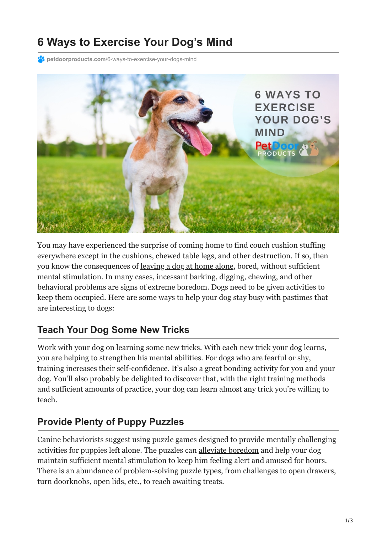# **6 Ways to Exercise Your Dog's Mind**

**PC** petdoorproducts.com[/6-ways-to-exercise-your-dogs-mind](https://petdoorproducts.com/6-ways-to-exercise-your-dogs-mind/)



You may have experienced the surprise of coming home to find couch cushion stuffing everywhere except in the cushions, chewed table legs, and other destruction. If so, then you know the consequences of [leaving a dog at home alone](https://www.aspca.org/pet-care/dog-care/common-dog-behavior-issues/separation-anxiety), bored, without sufficient mental stimulation. In many cases, incessant barking, digging, chewing, and other behavioral problems are signs of extreme boredom. Dogs need to be given activities to keep them occupied. Here are some ways to help your dog stay busy with pastimes that are interesting to dogs:

#### **Teach Your Dog Some New Tricks**

Work with your dog on learning some new tricks. With each new trick your dog learns, you are helping to strengthen his mental abilities. For dogs who are fearful or shy, training increases their self-confidence. It's also a great bonding activity for you and your dog. You'll also probably be delighted to discover that, with the right training methods and sufficient amounts of practice, your dog can learn almost any trick you're willing to teach.

#### **Provide Plenty of Puppy Puzzles**

Canine behaviorists suggest using puzzle games designed to provide mentally challenging activities for puppies left alone. The puzzles can [alleviate boredom](https://www.aspca.org/news/home-tips-keeping-your-pets-busy-and-engaged) and help your dog maintain sufficient mental stimulation to keep him feeling alert and amused for hours. There is an abundance of problem-solving puzzle types, from challenges to open drawers, turn doorknobs, open lids, etc., to reach awaiting treats.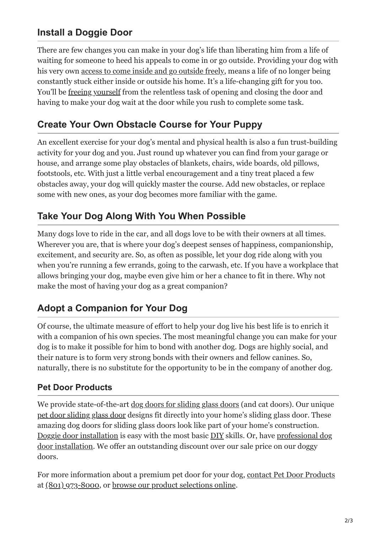## **Install a Doggie Door**

There are few changes you can make in your dog's life than liberating him from a life of waiting for someone to heed his appeals to come in or go outside. Providing your dog with his very own [access to come inside and go outside freely](https://petdoorproducts.com/), means a life of no longer being constantly stuck either inside or outside his home. It's a life-changing gift for you too. You'll be [freeing yourself](https://petdoorproducts.com/how-it-works/) from the relentless task of opening and closing the door and having to make your dog wait at the door while you rush to complete some task.

#### **Create Your Own Obstacle Course for Your Puppy**

An excellent exercise for your dog's mental and physical health is also a fun trust-building activity for your dog and you. Just round up whatever you can find from your garage or house, and arrange some play obstacles of blankets, chairs, wide boards, old pillows, footstools, etc. With just a little verbal encouragement and a tiny treat placed a few obstacles away, your dog will quickly master the course. Add new obstacles, or replace some with new ones, as your dog becomes more familiar with the game.

#### **Take Your Dog Along With You When Possible**

Many dogs love to ride in the car, and all dogs love to be with their owners at all times. Wherever you are, that is where your dog's deepest senses of happiness, companionship, excitement, and security are. So, as often as possible, let your dog ride along with you when you're running a few errands, going to the carwash, etc. If you have a workplace that allows bringing your dog, maybe even give him or her a chance to fit in there. Why not make the most of having your dog as a great companion?

### **Adopt a Companion for Your Dog**

Of course, the ultimate measure of effort to help your dog live his best life is to enrich it with a companion of his own species. The most meaningful change you can make for your dog is to make it possible for him to bond with another dog. Dogs are highly social, and their nature is to form very strong bonds with their owners and fellow canines. So, naturally, there is no substitute for the opportunity to be in the company of another dog.

#### **Pet Door Products**

We provide state-of-the-art <u>[dog doors for sliding glass doors](https://petdoorproducts.com/how-it-works/)</u> (and cat doors). Our unique [pet door sliding glass door](https://petdoorproducts.com/shop/) designs fit directly into your home's sliding glass door. These amazing dog doors for sliding glass doors look like part of your home's construction. [Doggie door installation](https://petdoorproducts.com/wp-content/uploads/2017/11/Measurement-Instructions-for-Pet-Door) [is easy with the most basic](https://petdoorproducts.com/professional-pet-door-installer-in-utah/) [DI](https://petdoorproducts.com/do-it-yourself/)[Y skills. Or, have professional dog](https://petdoorproducts.com/professional-pet-door-installer-in-utah/) door installation. We offer an outstanding discount over our sale price on our doggy doors.

For more information about a premium pet door for your dog, [contact Pet Door Products](https://petdoorproducts.com/contact-us/) at [\(801\) 973-8000,](tel:+18019738000) or [browse our product selections online](https://petdoorproducts.com/shop/).